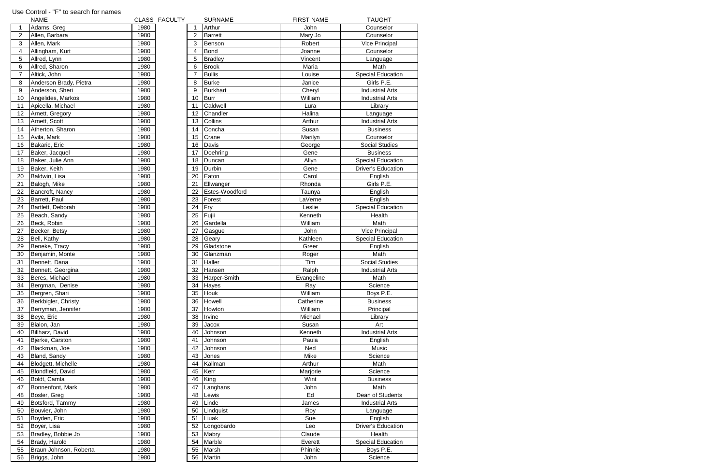|                 | <b>NAME</b>            |      | CLASS FACULTY |                | <b>SURNAME</b> | <b>FIRST NAME</b> | <b>TAUGHT</b>             |
|-----------------|------------------------|------|---------------|----------------|----------------|-------------------|---------------------------|
| $\mathbf{1}$    | Adams, Greg            | 1980 |               |                | Arthur         | John              | Counselor                 |
| $\overline{2}$  | Allen, Barbara         | 1980 |               | $\overline{c}$ | <b>Barrett</b> | Mary Jo           | Counselor                 |
| $\sqrt{3}$      | Allen, Mark            | 1980 |               | 3              | Benson         | Robert            | <b>Vice Principal</b>     |
| $\overline{4}$  | Allingham, Kurt        | 1980 |               | 4              | Bond           | Joanne            | Counselor                 |
| $\overline{5}$  | Allred, Lynn           | 1980 |               | 5              | <b>Bradley</b> | Vincent           | Language                  |
| $6\phantom{1}6$ | Allred, Sharon         | 1980 |               | 6              | <b>Brook</b>   | Maria             | Math                      |
| $\overline{7}$  | Altick, John           | 1980 |               | $\overline{7}$ | <b>Bullis</b>  | Louise            | <b>Special Education</b>  |
| 8               | Anderson Brady, Pietra | 1980 |               | 8              | <b>Burke</b>   | Janice            | Girls P.E.                |
| $9\,$           | Anderson, Sheri        | 1980 |               | 9              | Burkhart       | Cheryl            | <b>Industrial Arts</b>    |
| 10              | Angelides, Markos      | 1980 |               | 10             | <b>Burr</b>    | William           | <b>Industrial Arts</b>    |
| 11              | Apicella, Michael      | 1980 |               | 11             | Caldwell       | Lura              | Library                   |
| 12              | Arnett, Gregory        | 1980 |               | 12             | Chandler       | Halina            | Language                  |
| 13              | Arnett, Scott          | 1980 |               | 13             | Collins        | Arthur            | <b>Industrial Arts</b>    |
| 14              |                        | 1980 |               | 14             | Concha         | Susan             | <b>Business</b>           |
| 15              | Atherton, Sharon       | 1980 |               |                | Crane          |                   | Counselor                 |
|                 | Avila, Mark            | 1980 |               | 15             | Davis          | Marilyn           | <b>Social Studies</b>     |
| 16              | Bakaric, Eric          |      |               | 16             |                | George            |                           |
| 17              | Baker, Jacquel         | 1980 |               | 17             | Doehring       | Gene              | <b>Business</b>           |
| 18              | Baker, Julie Ann       | 1980 |               | 18             | Duncan         | Allyn             | <b>Special Education</b>  |
| 19              | Baker, Keith           | 1980 |               | 19             | Durbin         | Gene              | <b>Driver's Education</b> |
| 20              | Baldwin, Lisa          | 1980 |               | 20             | Eaton          | Carol             | English                   |
| 21              | Balogh, Mike           | 1980 |               | 21             | Ellwanger      | Rhonda            | Girls P.E.                |
| 22              | Bancroft, Nancy        | 1980 |               | 22             | Estes-Woodford | Taunya            | English                   |
| 23              | Barrett, Paul          | 1980 |               | 23             | Forest         | LaVerne           | English                   |
| 24              | Bartlett, Deborah      | 1980 |               | 24             | Fry            | Leslie            | <b>Special Education</b>  |
| 25              | Beach, Sandy           | 1980 |               | 25             | Fujii          | Kenneth           | Health                    |
| 26              | Beck, Robin            | 1980 |               | 26             | Gardella       | William           | Math                      |
| 27              | Becker, Betsy          | 1980 |               | 27             | Gasgue         | John              | <b>Vice Principal</b>     |
| 28              | Bell, Kathy            | 1980 |               | 28             | Geary          | Kathleen          | <b>Special Education</b>  |
| 29              | Beneke, Tracy          | 1980 |               | 29             | Gladstone      | Greer             | English                   |
| 30              | Benjamin, Monte        | 1980 |               | 30             | Glanzman       | Roger             | Math                      |
| 31              | Bennett, Dana          | 1980 |               | 31             | Haller         | Tim               | <b>Social Studies</b>     |
| 32              | Bennett, Georgina      | 1980 |               | 32             | Hansen         | Ralph             | <b>Industrial Arts</b>    |
| 33              | Beres, Michael         | 1980 |               | 33             | Harper-Smith   | Evangeline        | Math                      |
| 34              | Bergman, Denise        | 1980 |               | 34             | <b>Hayes</b>   | Ray               | Science                   |
| 35              | Bergren, Shari         | 1980 |               | 35             | <b>Houk</b>    | William           | Boys P.E.                 |
| 36              | Berkbigler, Christy    | 1980 |               | 36             | Howell         | Catherine         | <b>Business</b>           |
| 37              | Berryman, Jennifer     | 1980 |               | 37             | Howton         | William           | Principal                 |
| 38              | Beye, Eric             | 1980 |               | 38             | Irvine         | Michael           | Library                   |
| 39              | Bialon, Jan            | 1980 |               | 39             | Jacox          | Susan             | Art                       |
| 40              | Billharz, David        | 1980 |               | 40             | Johnson        | Kenneth           | <b>Industrial Arts</b>    |
| 41              | Bjerke, Carston        | 1980 |               | 41             | Johnson        | Paula             | English                   |
| 42              | Blackman, Joe          | 1980 |               | 42             | Johnson        | Ned               | Music                     |
| 43              | Bland, Sandy           | 1980 |               | 43             | Jones          | Mike              | Science                   |
| 44              | Blodgett, Michelle     | 1980 |               | 44             | Kallman        | Arthur            | Math                      |
| 45              | Blondfield, David      | 1980 |               | 45             | Kerr           | Marjorie          | Science                   |
| 46              | Boldt, Camla           | 1980 |               | 46             | King           | Wint              | <b>Business</b>           |
| 47              | Bonnenfont, Mark       | 1980 |               | 47             | Langhans       | John              | Math                      |
| 48              | Bosler, Greg           | 1980 |               | 48             | Lewis          | Ed                | Dean of Students          |
| 49              | Botsford, Tammy        | 1980 |               | 49             | Linde          | James             | <b>Industrial Arts</b>    |
| 50              | Bouvier, John          | 1980 |               | 50             | Lindquist      | Roy               | Language                  |
| 51              | Boyden, Eric           | 1980 |               | 51             | Liuak          | Sue               | English                   |
| 52              | Boyer, Lisa            | 1980 |               | 52             | Longobardo     | Leo               | <b>Driver's Education</b> |
| 53              | Bradley, Bobbie Jo     | 1980 |               | 53             | Mabry          | Claude            | Health                    |
| 54              | Brady, Harold          | 1980 |               | 54             | Marble         | Everett           | <b>Special Education</b>  |
| 55              | Braun Johnson, Roberta | 1980 |               | 55             | Marsh          | Phinnie           | Boys P.E.                 |
| 56              | Briggs, John           | 1980 |               | 56             | Martin         | John              | Science                   |
|                 |                        |      |               |                |                |                   |                           |

## Use Control - "F" to search for names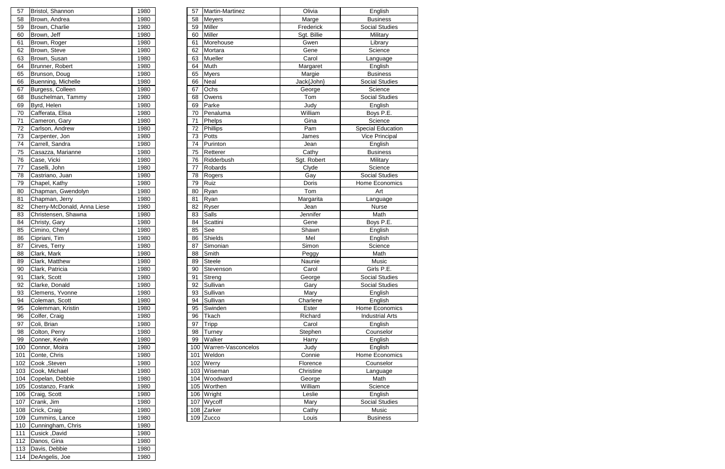| 57  | Bristol, Shannon            | 1980 | 57  | Martin-Martinez    | Olivia      | English                  |
|-----|-----------------------------|------|-----|--------------------|-------------|--------------------------|
| 58  | Brown, Andrea               | 1980 | 58  | <b>Meyers</b>      | Marge       | <b>Business</b>          |
| 59  | Brown, Charlie              | 1980 | 59  | <b>Miller</b>      | Frederick   | <b>Social Studies</b>    |
| 60  | Brown, Jeff                 | 1980 | 60  | <b>Miller</b>      | Sgt. Billie | Military                 |
| 61  | Brown, Roger                | 1980 | 61  | Morehouse          | Gwen        | Library                  |
| 62  | Brown, Steve                | 1980 | 62  | Mortara            | Gene        | Science                  |
| 63  | Brown, Susan                | 1980 | 63  | Mueller            | Carol       | Language                 |
| 64  | Brunner, Robert             | 1980 | 64  | Muth               | Margaret    | English                  |
| 65  | Brunson, Doug               | 1980 | 65  | <b>Myers</b>       | Margie      | <b>Business</b>          |
| 66  | Buenning, Michelle          | 1980 | 66  | <b>Neal</b>        | Jack{John}  | <b>Social Studies</b>    |
| 67  | Burgess, Colleen            | 1980 | 67  | Ochs               | George      | Science                  |
| 68  | Buschelman, Tammy           | 1980 | 68  | Owens              | Tom         | <b>Social Studies</b>    |
| 69  | Byrd, Helen                 | 1980 | 69  | Parke              | Judy        | English                  |
| 70  | Cafferata, Elisa            | 1980 | 70  | Penaluma           | William     | Boys P.E.                |
| 71  | Cameron, Gary               | 1980 | 71  | Phelps             | Gina        | Science                  |
| 72  | Carlson, Andrew             | 1980 | 72  | Phillips           | Pam         | <b>Special Education</b> |
| 73  | Carpenter, Jon              | 1980 | 73  | Potts              | James       | Vice Principal           |
| 74  | Carrell, Sandra             | 1980 | 74  | Purinton           | Jean        | English                  |
| 75  | Casazza, Marianne           | 1980 | 75  | Retterer           | Cathy       | <b>Business</b>          |
| 76  | Case, Vicki                 | 1980 | 76  | Ridderbush         | Sgt. Robert | Military                 |
| 77  | Caselli, John               | 1980 | 77  | Robards            | Clyde       | Science                  |
| 78  | Castriano, Juan             | 1980 | 78  | Rogers             | Gay         | <b>Social Studies</b>    |
| 79  | Chapel, Kathy               | 1980 | 79  | Ruiz               | Doris       | Home Economics           |
| 80  | Chapman, Gwendolyn          | 1980 | 80  | Ryan               | Tom         | Art                      |
| 81  | Chapman, Jerry              | 1980 | 81  | Ryan               | Margarita   | Language                 |
| 82  | Cherry-McDonald, Anna Liese | 1980 | 82  | Ryser              | Jean        | Nurse                    |
| 83  | Christensen, Shawna         | 1980 | 83  | <b>Salls</b>       | Jennifer    | Math                     |
| 84  | Christy, Gary               | 1980 | 84  | Scattini           | Gene        | Boys P.E.                |
| 85  | Cimino, Cheryl              | 1980 | 85  | See                | Shawn       | English                  |
| 86  | Cipriani, Tim               | 1980 | 86  | Shields            | Mel         | English                  |
| 87  | Cirves, Terry               | 1980 | 87  | Simonian           | Simon       | Science                  |
| 88  | Clark, Mark                 | 1980 | 88  | Smith              | Peggy       | Math                     |
| 89  | Clark, Matthew              | 1980 | 89  | <b>Steele</b>      | Naunie      | Music                    |
| 90  | Clark, Patricia             | 1980 | 90  | Stevenson          | Carol       | Girls P.E.               |
| 91  | Clark, Scott                | 1980 | 91  | Streng             | George      | Social Studies           |
| 92  | Clarke, Donald              | 1980 | 92  | Sullivan           | Gary        | <b>Social Studies</b>    |
| 93  | Clemens, Yvonne             | 1980 | 93  | Sullivan           | Mary        | English                  |
| 94  | Coleman, Scott              | 1980 | 94  | Sullivan           | Charlene    | English                  |
| 95  | Colemman, Kristin           | 1980 | 95  | Swinden            | Ester       | Home Economics           |
| 96  | Colfer, Craig               | 1980 | 96  | Tkach              | Richard     | <b>Industrial Arts</b>   |
| 97  | Coli, Brian                 | 1980 | 97  | <b>Tripp</b>       | Carol       | English                  |
| 98  | Colton, Perry               | 1980 | 98  | Turney             | Stephen     | Counselor                |
| 99  | Conner, Kevin               | 1980 | 99  | Walker             | Harry       | English                  |
| 100 | Connor, Moira               | 1980 | 100 | Warren-Vasconcelos | Judy        | English                  |
| 101 | Conte, Chris                | 1980 | 101 | Weldon             | Connie      | Home Economics           |
| 102 | Cook, Steven                | 1980 | 102 | Werry              | Florence    | Counselor                |
| 103 | Cook, Michael               | 1980 |     | 103 Wiseman        | Christine   | Language                 |
|     | 104 Copelan, Debbie         | 1980 | 104 | Woodward           | George      | Math                     |
| 105 | Costanzo, Frank             | 1980 | 105 | Worthen            | William     | Science                  |
| 106 | Craig, Scott                | 1980 | 106 | Wright             | Leslie      | English                  |
| 107 | Crank, Jim                  | 1980 | 107 | Wycoff             | Mary        | <b>Social Studies</b>    |
| 108 | Crick, Craig                | 1980 | 108 | Zarker             | Cathy       | Music                    |
| 109 | Cummins, Lance              | 1980 |     | 109 Zucco          | Louis       | <b>Business</b>          |

| 57  | Bristol, Shannon            | 1980 |
|-----|-----------------------------|------|
| 58  | Brown, Andrea               | 1980 |
| 59  | Brown, Charlie              | 1980 |
| 60  | Brown, Jeff                 | 1980 |
| 61  | Brown, Roger                | 1980 |
| 62  | Brown, Steve                | 1980 |
| 63  | Brown, Susan                | 1980 |
| 64  | Brunner, Robert             | 1980 |
| 65  | Brunson, Doug               | 1980 |
| 66  | Buenning, Michelle          | 1980 |
| 67  | Burgess, Colleen            | 1980 |
| 68  | Buschelman, Tammy           | 1980 |
| 69  | Byrd, Helen                 | 1980 |
| 70  | Cafferata, Elisa            | 1980 |
| 71  | Cameron, Gary               | 1980 |
| 72  | Carlson, Andrew             | 1980 |
| 73  | Carpenter, Jon              | 1980 |
| 74  | Carrell, Sandra             | 1980 |
| 75  | Casazza, Marianne           | 1980 |
| 76  | Case, Vicki                 | 1980 |
| 77  | Caselli, John               | 1980 |
| 78  | Castriano, Juan             | 1980 |
| 79  | Chapel, Kathy               | 1980 |
| 80  | Chapman, Gwendolyn          | 1980 |
| 81  | Chapman, Jerry              | 1980 |
| 82  | Cherry-McDonald, Anna Liese | 1980 |
| 83  | Christensen, Shawna         | 1980 |
| 84  | Christy, Gary               | 1980 |
| 85  | Cimino, Cheryl              | 1980 |
| 86  | Cipriani, Tim               | 1980 |
| 87  | Cirves, Terry               | 1980 |
| 88  | Clark, Mark                 | 1980 |
| 89  | Clark, Matthew              | 1980 |
| 90  | Clark, Patricia             | 1980 |
| 91  | Clark, Scott                | 1980 |
| 92  | Clarke, Donald              | 1980 |
| 93  | Clemens, Yvonne             | 1980 |
| 94  | Coleman, Scott              | 1980 |
| 95  | Colemman, Kristin           | 1980 |
| 96  | Colfer, Craig               | 1980 |
| 97  | Coli, Brian                 | 1980 |
| 98  | Colton, Perry               | 1980 |
| 99  | Conner, Kevin               | 1980 |
| 100 | Connor, Moira               | 1980 |
| 101 | Conte, Chris                | 1980 |
| 102 | Cook, Steven                | 1980 |
| 103 | Cook, Michael               | 1980 |
| 104 | Copelan, Debbie             | 1980 |
| 105 | Costanzo, Frank             | 1980 |
| 106 | Craig, Scott                | 1980 |
| 107 | Crank, Jim                  | 1980 |
| 108 | Crick, Craig                | 1980 |
| 109 | Cummins, Lance              | 1980 |
| 110 | Cunningham, Chris           | 1980 |
| 111 | Cusick, David               | 1980 |
| 112 | Danos, Gina                 | 1980 |
| 113 | Davis, Debbie               | 1980 |
| 114 | DeAngelis, Joe              | 1980 |
|     |                             |      |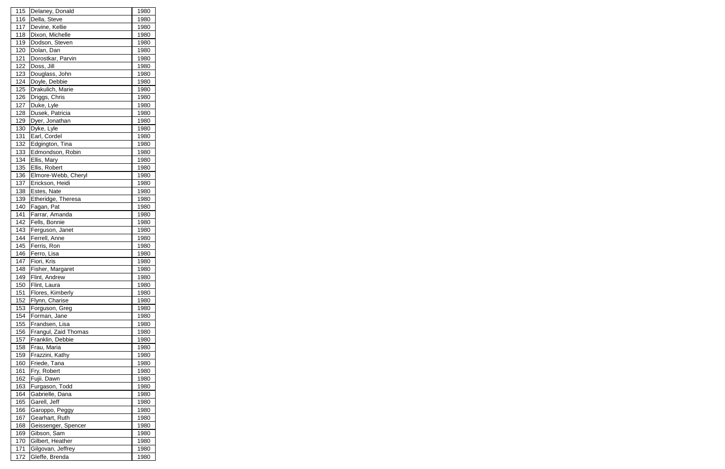| 115        | Delaney, Donald                       | 1980         |
|------------|---------------------------------------|--------------|
| 116        | Della, Steve                          | 1980         |
| 117        | Devine, Kellie                        | 1980         |
| 118        | Dixon, Michelle                       | 1980         |
| 119        | Dodson, Steven                        | 1980         |
| 120        | Dolan, Dan                            | 1980         |
| 121        | Dorostkar, Parvin                     | 1980         |
| 122        | Doss, Jill                            | 1980         |
| 123        | Douglass, John                        | 1980         |
| 124        | Doyle, Debbie                         | 1980         |
| 125        | Drakulich, Marie                      | 1980         |
| 126        | Driggs, Chris                         | 1980         |
| 127        | Duke, Lyle                            | 1980         |
| 128        | Dusek, Patricia                       | 1980         |
| 129        | Dyer, Jonathan                        | 1980         |
| 130        | Dyke, Lyle                            | 1980         |
| 131        | Earl, Cordel                          | 1980         |
| 132        | Edgington, Tina                       | 1980         |
| 133        | Edmondson, Robin                      | 1980         |
| 134        | Ellis, Mary                           | 1980         |
| 135        | Ellis, Robert                         | 1980         |
|            |                                       |              |
| 136        | Elmore-Webb, Cheryl                   | 1980         |
| 137        | Erickson, Heidi                       | 1980         |
| 138        | Estes, Nate                           | 1980         |
| 139        | Etheridge, Theresa                    | 1980         |
| 140        | Fagan, Pat                            | 1980         |
| 141        | Farrar, Amanda                        | 1980         |
| 142        | Fells, Bonnie                         | 1980         |
| 143        | Ferguson, Janet                       | 1980         |
| 144        | Ferrell, Anne                         | 1980         |
| 145        | Ferris, Ron                           | 1980         |
| 146        | Ferro, Lisa                           | 1980         |
| 147        | Fiori, Kris                           | 1980         |
| <u>148</u> | Fisher, Margaret                      | <u>1980</u>  |
| 149        | Flint, Andrew                         | 1980         |
| 150        | Flint, Laura                          | 1980         |
| 151        | Flores, Kimberly                      | 1980         |
| 152        | Flynn, Charise                        | 1980         |
| 153        | Forguson, Greg                        | 1980         |
| 154        | Forman, Jane                          | 1980         |
| 155        | Frandsen, Lisa                        | 1980         |
|            |                                       |              |
| 156        | Frangul, Zaid Thomas                  | 1980         |
| 157        | Franklin, Debbie                      | 1980         |
| 158        | Frau, Maria                           | 1980         |
| 159        | Frazzini, Kathy                       | 1980         |
| 160        | Friede, Tana                          | 1980         |
| 161        | Fry, Robert                           | 1980         |
| 162        | Fujii. Dawn                           | 1980         |
| 163        | Furgason, Todd                        | 1980         |
| 164        | Gabrielle, Dana                       | 1980         |
| 165        | Garell, Jeff                          | 1980         |
| 166        |                                       | 1980         |
| 167        | Garoppo, Peggy<br>Gearhart, Ruth      | 1980         |
| 168        | Geissenger, Spencer                   | 1980         |
|            | Gibson, Sam                           | 1980         |
| 169        |                                       |              |
| 170<br>171 | Gilbert, Heather<br>Gilgovan, Jeffrey | 1980<br>1980 |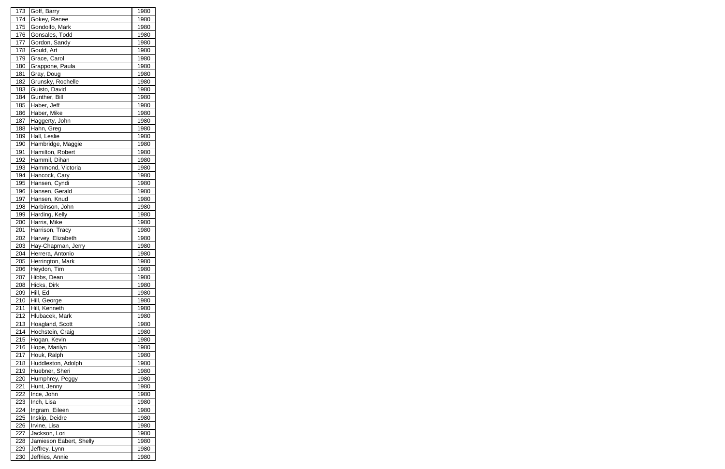| 173 | Goff, Barry             | 1980         |
|-----|-------------------------|--------------|
| 174 | Gokey, Renee            | 1980         |
| 175 | Gondolfo, Mark          | 1980         |
| 176 | Gonsales, Todd          | 1980         |
| 177 | Gordon, Sandy           | 1980         |
| 178 | Gould, Art              | 1980         |
| 179 | Grace, Carol            | 1980         |
| 180 | Grappone, Paula         | 1980         |
| 181 | Gray, Doug              | 1980         |
| 182 | Grunsky, Rochelle       | 1980         |
| 183 | Guisto, David           | 1980         |
| 184 | Gunther, Bill           | 1980         |
| 185 | Haber, Jeff             | 1980         |
| 186 | Haber, Mike             | 1980         |
| 187 | Haggerty, John          | 1980         |
| 188 | Hahn, Greg              | 1980         |
| 189 | Hall, Leslie            | 1980         |
| 190 | Hambridge, Maggie       | 1980         |
| 191 | Hamilton, Robert        | 1980         |
| 192 | Hammil, Dihan           | 1980         |
| 193 | Hammond, Victoria       | 1980         |
|     |                         |              |
| 194 | Hancock, Cary           | 1980         |
| 195 | Hansen, Cyndi           | 1980         |
| 196 | Hansen, Gerald          | 1980         |
| 197 | Hansen, Knud            | 1980         |
| 198 | Harbinson, John         | 1980         |
| 199 | Harding, Kelly          | 1980         |
| 200 | Harris, Mike            | 1980         |
| 201 | Harrison, Tracy         | 1980         |
| 202 | Harvey, Elizabeth       | 1980         |
| 203 | Hay-Chapman, Jerry      | 1980         |
| 204 | Herrera, Antonio        | 1980         |
| 205 | Herrington, Mark        | 1980         |
| 206 | Heydon, Tim             | <u> 1980</u> |
| 207 | Hibbs, Dean             | 1980         |
| 208 | Hicks, Dirk             | 1980         |
| 209 | Hill, Ed                | 1980         |
| 210 | Hill, George            | 1980         |
| 211 | Hill, Kenneth           | 1980         |
| 212 | Hlubacek, Mark          | 1980         |
| 213 | Hoagland, Scott         | 1980         |
| 214 | Hochstein, Craig        | 1980         |
| 215 | Hogan, Kevin            | 1980         |
| 216 | Hope, Marilyn           | 1980         |
| 217 | Houk, Ralph             | 1980         |
| 218 | Huddleston, Adolph      | 1980         |
| 219 | Huebner, Sheri          | 1980         |
| 220 | Humphrey, Peggy         | 1980         |
| 221 | Hunt, Jenny             | 1980         |
| 222 | Ince, John              | 1980         |
| 223 | Inch, Lisa              | 1980         |
| 224 | Ingram, Eileen          | 1980         |
| 225 | Inskip, Deidre          | 1980         |
| 226 | Irvine, Lisa            | 1980         |
| 227 | Jackson, Lori           | 1980         |
| 228 | Jamieson Eabert, Shelly | 1980         |
| 229 | Jeffrey, Lynn           | 1980         |
| 230 | Jeffries, Annie         | 1980         |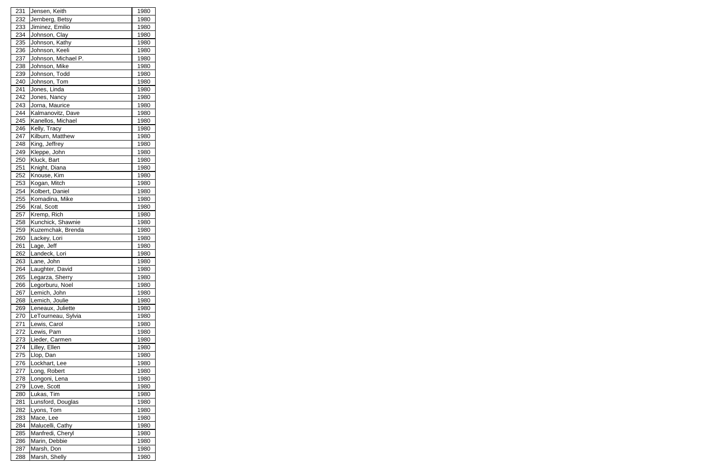| 231        | Jensen, Keith       | 1980         |
|------------|---------------------|--------------|
| 232        | Jernberg, Betsy     | 1980         |
| 233        | Jiminez, Emilio     | 1980         |
| 234        | Johnson, Clay       | 1980         |
| 235        | Johnson, Kathy      | 1980         |
| 236        | Johnson, Keeli      | 1980         |
| 237        | Johnson, Michael P. | 1980         |
| 238        | Johnson, Mike       | 1980         |
| 239        | Johnson, Todd       | 1980         |
| 240        | Johnson, Tom        | 1980         |
| 241        | Jones, Linda        | 1980         |
| 242        | Jones, Nancy        | 1980         |
| 243        | Jorna, Maurice      | 1980         |
| 244        | Kalmanovitz, Dave   | 1980         |
| 245        | Kanellos, Michael   | 1980         |
| 246        | Kelly, Tracy        | 1980         |
| 247        | Kilburn, Matthew    | 1980         |
| 248        | King, Jeffrey       | 1980         |
| 249        | Kleppe, John        | 1980         |
| 250        | Kluck, Bart         | 1980         |
| 251        | Knight, Diana       | 1980         |
| 252        | Knouse, Kim         | 1980         |
| 253        | Kogan, Mitch        | 1980         |
| 254        | Kolbert, Daniel     | 1980         |
| 255        | Komadina, Mike      | 1980         |
| 256        | Kral, Scott         | 1980         |
|            | Kremp, Rich         |              |
| 257        | Kunchick, Shawnie   | 1980         |
| 258<br>259 |                     | 1980         |
|            | Kuzemchak, Brenda   | 1980<br>1980 |
| 260        | Lackey, Lori        |              |
| 261        | Lage, Jeff          | 1980         |
| 262        | Landeck, Lori       | 1980         |
| 263        | Lane, John          | 1980         |
| 264        | Laughter, David     | 1980         |
| 265        | Legarza, Sherry     | 1980         |
| 266        | Legorburu, Noel     | 1980         |
| 267        | Lemich, John        | 1980         |
| 268        | Lemich, Joulie      | 1980         |
| 269        | Leneaux, Juliette   | 1980         |
| 270        | LeTourneau, Sylvia  | 1980         |
| 271        | Lewis, Carol        | 1980         |
| 272        | Lewis, Pam          | 1980         |
| 273        | Lieder, Carmen      | 1980         |
| 274        | Lilley, Ellen       | 1980         |
| 275        | Llop, Dan           | 1980         |
| 276        | Lockhart, Lee       | 1980         |
| 277        | Long, Robert        | 1980         |
| 278        | Longoni, Lena       | 1980         |
| 279        | Love, Scott         | 1980         |
| 280        | Lukas, Tim          | 1980         |
| 281        | Lunsford, Douglas   | 1980         |
| 282        | Lyons, Tom          | 1980         |
| 283        | Mace, Lee           | 1980         |
| 284        | Malucelli, Cathy    | 1980         |
| 285        | Manfredi, Cheryl    | 1980         |
| 286        | Marin, Debbie       | 1980         |
| 287        | Marsh, Don          | 1980         |
| 288        | Marsh, Shelly       | 1980         |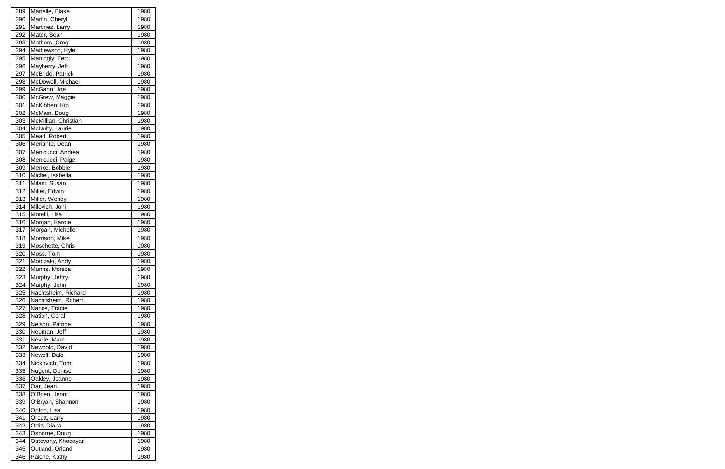| 289 | Martelle, Blake      | 1980 |
|-----|----------------------|------|
| 290 | Martin, Cheryl       | 1980 |
| 291 | Martinez, Larry      | 1980 |
| 292 | Mater, Sean          | 1980 |
| 293 | Mathers, Greg        | 1980 |
| 294 | Mathewson, Kyle      | 1980 |
| 295 | Mattingly, Terri     | 1980 |
| 296 | Mayberry, Jeff       | 1980 |
| 297 | McBride, Patrick     | 1980 |
| 298 | McDowell, Michael    | 1980 |
| 299 | McGann, Joe          | 1980 |
| 300 | McGrew, Maggie       | 1980 |
| 301 | McKibben, Kip        | 1980 |
| 302 | McMain, Doug         | 1980 |
| 303 | McMillian, Christian | 1980 |
| 304 | McNulty, Laurie      | 1980 |
| 305 | Mead, Robert         | 1980 |
| 306 | Menante, Dean        | 1980 |
| 307 | Menicucci, Andrea    | 1980 |
| 308 | Menicucci, Paige     | 1980 |
| 309 | Menke, Bobbie        | 1980 |
| 310 | Michel, Isabella     |      |
|     |                      | 1980 |
| 311 | Milani, Susan        | 1980 |
| 312 | Miller, Edwin        | 1980 |
| 313 | Miller, Wendy        | 1980 |
| 314 | Milovich, Joni       | 1980 |
| 315 | Morelli, Lisa        | 1980 |
| 316 | Morgan, Karole       | 1980 |
| 317 | Morgan, Michelle     | 1980 |
| 318 | Morrison, Mike       | 1980 |
| 319 | Moschette, Chris     | 1980 |
| 320 | Moss, Tom            | 1980 |
| 321 | Motozaki, Andy       | 1980 |
| 322 | Munns, Monica        | 1980 |
| 323 | Murphy, Jeffry       | 1980 |
| 324 | Murphy, John         | 1980 |
| 325 | Nachtsheim, Richard  | 1980 |
| 326 | Nachtsheim, Robert   | 1980 |
| 327 | Nance, Tracie        | 1980 |
| 328 | Nation, Coral        | 1980 |
| 329 | Nelson, Patrice      | 1980 |
| 330 | Neuman, Jeff         | 1980 |
| 331 | Neville, Marc        | 1980 |
| 332 | Newbold, David       | 1980 |
| 333 | Newell, Dale         | 1980 |
| 334 | Nickovich, Tom       | 1980 |
| 335 | Nugent, Denise       | 1980 |
| 336 | Oakley, Jeanne       | 1980 |
| 337 | Oar, Jean            | 1980 |
| 338 | O'Brien, Jenni       | 1980 |
| 339 | O'Bryan, Shannon     | 1980 |
| 340 | Opton, Lisa          | 1980 |
| 341 | Orcutt, Larry        | 1980 |
| 342 | Ortiz, Diana         | 1980 |
| 343 | Osborne, Doug        | 1980 |
| 344 | Ostovany, Khodayar   | 1980 |
| 345 | Outland, Orland      | 1980 |
| 346 | Palone, Kathy        | 1980 |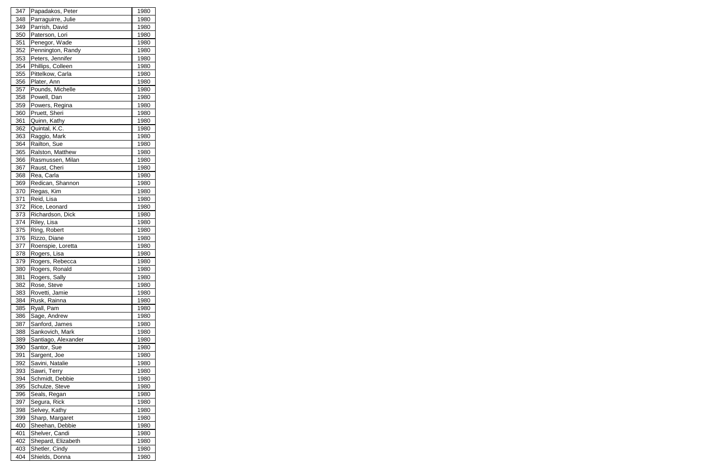| 347 | Papadakos, Peter             | 1980 |
|-----|------------------------------|------|
| 348 | Parraguirre, Julie           | 1980 |
| 349 | Parrish, David               | 1980 |
| 350 | Paterson, Lori               | 1980 |
| 351 | Penegor, Wade                | 1980 |
| 352 | Pennington, Randy            | 1980 |
| 353 | Peters, Jennifer             | 1980 |
| 354 | Phillips, Colleen            | 1980 |
| 355 | Pittelkow, Carla             | 1980 |
| 356 | Plater, Ann                  | 1980 |
| 357 | Pounds, Michelle             | 1980 |
| 358 | Powell, Dan                  | 1980 |
| 359 | Powers, Regina               | 1980 |
| 360 | Pruett, Sheri                | 1980 |
| 361 | Quinn, Kathy                 | 1980 |
| 362 | Quintal, K.C.                | 1980 |
| 363 |                              | 1980 |
| 364 | Raggio, Mark<br>Railton, Sue | 1980 |
| 365 | Ralston, Matthew             |      |
|     |                              | 1980 |
| 366 | Rasmussen, Milan             | 1980 |
| 367 | Raust, Cheri                 | 1980 |
| 368 | Rea, Carla                   | 1980 |
| 369 | Redican, Shannon             | 1980 |
| 370 | Regas, Kim                   | 1980 |
| 371 | Reid, Lisa                   | 1980 |
| 372 | Rice, Leonard                | 1980 |
| 373 | Richardson, Dick             | 1980 |
| 374 | Riley, Lisa                  | 1980 |
| 375 | Ring, Robert                 | 1980 |
| 376 | Rizzo, Diane                 | 1980 |
| 377 | Roenspie, Loretta            | 1980 |
| 378 | Rogers, Lisa                 | 1980 |
| 379 | Rogers, Rebecca              | 1980 |
| 380 | Rogers, Ronald               | 1980 |
| 381 | Rogers, Sally                | 1980 |
| 382 | Rose, Steve                  | 1980 |
| 383 | Rovetti, Jamie               | 1980 |
| 384 | Rusk, Rainna                 | 1980 |
| 385 | Ryall, Pam                   | 1980 |
| 386 | Sage, Andrew                 | 1980 |
| 387 | Sanford, James               | 1980 |
| 388 | Sankovich, Mark              | 1980 |
| 389 | Santiago, Alexander          | 1980 |
| 390 | Santor, Sue                  | 1980 |
| 391 | Sargent, Joe                 | 1980 |
| 392 | Savini, Natalie              | 1980 |
| 393 | Sawri, Terry                 | 1980 |
| 394 | Schmidt, Debbie              | 1980 |
| 395 | Schulze, Steve               | 1980 |
| 396 | Seals, Regan                 | 1980 |
| 397 | Segura, Rick                 | 1980 |
| 398 | Selvey, Kathy                | 1980 |
| 399 | Sharp, Margaret              | 1980 |
| 400 | Sheehan, Debbie              | 1980 |
| 401 | Shelver, Candi               | 1980 |
|     | Shepard, Elizabeth           |      |
| 402 |                              | 1980 |
| 403 | Shetler, Cindy               | 1980 |
| 404 | Shields, Donna               | 1980 |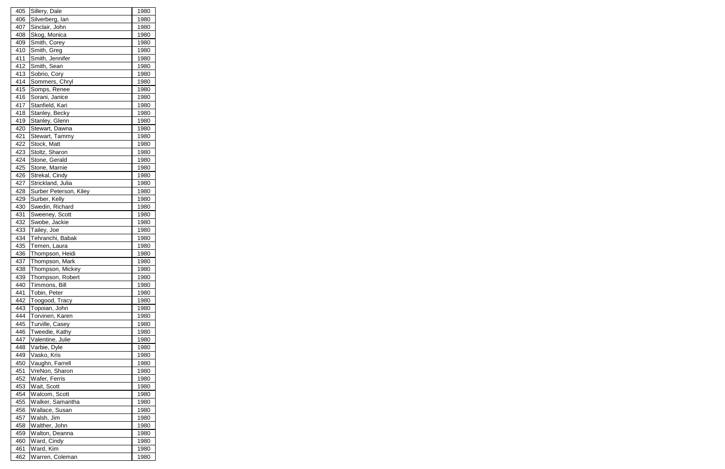| 405 | Sillery, Dale          | 1980        |
|-----|------------------------|-------------|
| 406 | Silverberg, lan        | 1980        |
| 407 | Sinclair, John         | 1980        |
| 408 | Skog, Monica           | 1980        |
| 409 | Smith, Corey           | 1980        |
| 410 | Smith, Greg            | 1980        |
| 411 | Smith, Jennifer        | 1980        |
| 412 | Smith, Sean            | 1980        |
| 413 | Sobrio, Cory           | 1980        |
| 414 | Sommers, Chryl         | 1980        |
| 415 | Somps, Renee           | 1980        |
| 416 | Sorani, Janice         | 1980        |
| 417 | Stanfield, Kari        | 1980        |
| 418 | Stanley, Becky         | 1980        |
| 419 | Stanley, Glenn         | 1980        |
| 420 | Stewart, Dawna         | 1980        |
| 421 | Stewart, Tammy         | 1980        |
| 422 |                        |             |
|     | Stock, Matt            | 1980        |
| 423 | Stoltz, Sharon         | 1980        |
| 424 | Stone, Gerald          | 1980        |
| 425 | Stone, Marnie          | 1980        |
| 426 | Strekal, Cindy         | 1980        |
| 427 | Strickland, Julia      | 1980        |
| 428 | Surber Peterson, Kiley | 1980        |
| 429 | Surber, Kelly          | 1980        |
| 430 | Swedin, Richard        | 1980        |
| 431 | Sweeney, Scott         | 1980        |
| 432 | Swobe, Jackie          | 1980        |
| 433 | Tailey, Joe            | 1980        |
| 434 | Tehranchi, Babak       | 1980        |
| 435 | Temen, Laura           | 1980        |
| 436 | Thompson, Heidi        | 1980        |
| 437 | Thompson, Mark         | 1980        |
| 438 | Thompson, Mickey       | <u>1980</u> |
| 439 | Thompson, Robert       | 1980        |
| 440 | Timmons, Bill          | 1980        |
| 441 | Tobin, Peter           | 1980        |
| 442 | Toogood, Tracy         | 1980        |
| 443 | Topoian, John          | 1980        |
| 444 | Torvinen, Karen        | 1980        |
| 445 | Turville, Casey        | 1980        |
| 446 | Tweedie, Kathy         | 1980        |
| 447 | Valentine, Julie       | 1980        |
| 448 | Varbie, Dyle           | 1980        |
| 449 | Vasko, Kris            | 1980        |
| 450 | Vaughn, Farrell        | 1980        |
| 451 | VreNon, Sharon         | 1980        |
| 452 | Wafer, Ferris          | 1980        |
| 453 | Wait, Scott            | 1980        |
| 454 | Walcom, Scott          | 1980        |
| 455 | Walker, Samantha       | 1980        |
| 456 | Wallace, Susan         | 1980        |
| 457 | Walsh, Jim             | 1980        |
| 458 | Walther, John          | 1980        |
| 459 | Walton, Deanna         | 1980        |
| 460 | Ward, Cindy            | 1980        |
| 461 | Ward, Kim              | 1980        |
| 462 | Warren, Coleman        | 1980        |
|     |                        |             |